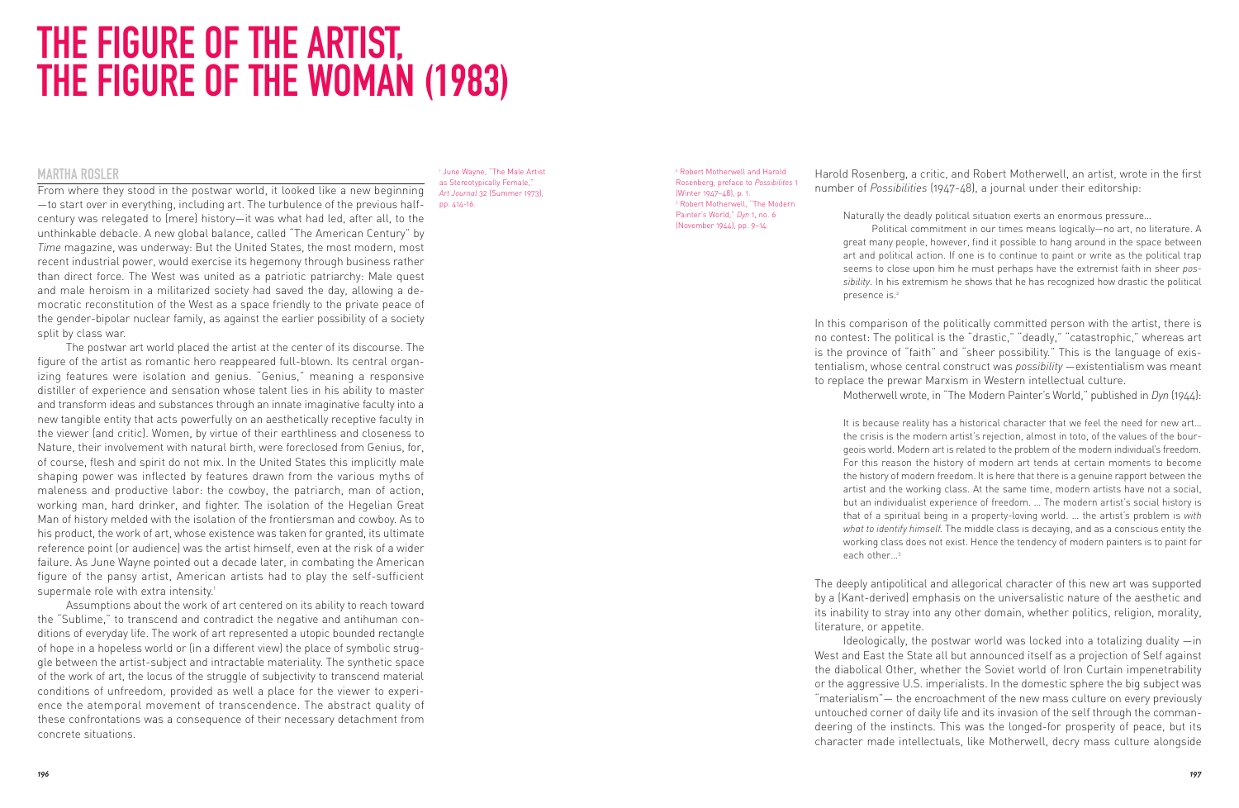## THE FIGURE OF THE ARTIST, THE FIGURE OF THE WOMAN (1983)

## MARTHA ROSLER

From where they stood in the postwar world, it looked like a new beginning —to start over in everything, including art. The turbulence of the previous halfcentury was relegated to (mere) history—it was what had led, after all, to the unthinkable debacle. A new global balance, called "The American Century" by *Time* magazine, was underway: But the United States, the most modern, most recent industrial power, would exercise its hegemony through business rather than direct force. The West was united as a patriotic patriarchy: Male quest and male heroism in a militarized society had saved the day, allowing a democratic reconstitution of the West as a space friendly to the private peace of the gender-bipolar nuclear family, as against the earlier possibility of a society split by class war.

The postwar art world placed the artist at the center of its discourse. The figure of the artist as romantic hero reappeared full-blown. Its central organizing features were isolation and genius. "Genius," meaning a responsive distiller of experience and sensation whose talent lies in his ability to master and transform ideas and substances through an innate imaginative faculty into a new tangible entity that acts powerfully on an aesthetically receptive faculty in the viewer (and critic). Women, by virtue of their earthliness and closeness to Nature, their involvement with natural birth, were foreclosed from Genius, for, of course, flesh and spirit do not mix. In the United States this implicitly male shaping power was inflected by features drawn from the various myths of maleness and productive labor: the cowboy, the patriarch, man of action, working man, hard drinker, and fighter. The isolation of the Hegelian Great Man of history melded with the isolation of the frontiersman and cowboy. As to his product, the work of art, whose existence was taken for granted, its ultimate reference point (or audience) was the artist himself, even at the risk of a wider failure. As June Wayne pointed out a decade later, in combating the American figure of the pansy artist, American artists had to play the self-sufficient supermale role with extra intensity.<sup>1</sup>

Assumptions about the work of art centered on its ability to reach toward the "Sublime," to transcend and contradict the negative and antihuman conditions of everyday life. The work of art represented a utopic bounded rectangle of hope in a hopeless world or (in a different view) the place of symbolic struggle between the artist-subject and intractable materiality. The synthetic space of the work of art, the locus of the struggle of subjectivity to transcend material conditions of unfreedom, provided as well a place for the viewer to experience the atemporal movement of transcendence. The abstract quality of these confrontations was a consequence of their necessary detachment from concrete situations.

<sup>1</sup> June Wayne, "The Male Artist as Stereotypically Female, *Art Journal* 32 (Summer 1973), pp. 414-16.

<sup>2</sup> Robert Motherwell and Harold Rosenberg, preface to *Possibilites* 1 (Winter 1947–48), p. 1. <sup>3</sup> Robert Motherwell, "The Modern Painter's World," *Dyn* 1, no. 6 (November 1944), pp. 9–14.

Harold Rosenberg, a critic, and Robert Motherwell, an artist, wrote in the first number of *Possibilities* (1947-48), a journal under their editorship:

Naturally the deadly political situation exerts an enormous pressure…

Political commitment in our times means logically—no art, no literature. A great many people, however, find it possible to hang around in the space between art and political action. If one is to continue to paint or write as the political trap seems to close upon him he must perhaps have the extremist faith in sheer *possibility*. In his extremism he shows that he has recognized how drastic the political presence is.<sup>2</sup>

In this comparison of the politically committed person with the artist, there is no contest: The political is the "drastic," "deadly," "catastrophic," whereas art is the province of "faith" and "sheer possibility." This is the language of existentialism, whose central construct was *possibility* —existentialism was meant to replace the prewar Marxism in Western intellectual culture.

Motherwell wrote, in "The Modern Painter's World," published in *Dyn* (1944):

It is because reality has a historical character that we feel the need for new art… the crisis is the modern artist's rejection, almost in toto, of the values of the bourgeois world. Modern art is related to the problem of the modern individual's freedom. For this reason the history of modern art tends at certain moments to become the history of modern freedom. It is here that there is a genuine rapport between the artist and the working class. At the same time, modern artists have not a social, but an individualist experience of freedom. … The modern artist's social history is that of a spiritual being in a property-loving world. … the artist's problem is *with what to identify himself.* The middle class is decaying, and as a conscious entity the working class does not exist. Hence the tendency of modern painters is to paint for each other…3

The deeply antipolitical and allegorical character of this new art was supported by a (Kant-derived) emphasis on the universalistic nature of the aesthetic and its inability to stray into any other domain, whether politics, religion, morality, literature, or appetite.

Ideologically, the postwar world was locked into a totalizing duality —in West and East the State all but announced itself as a projection of Self against the diabolical Other, whether the Soviet world of Iron Curtain impenetrability or the aggressive U.S. imperialists. In the domestic sphere the big subject was "materialism"— the encroachment of the new mass culture on every previously untouched corner of daily life and its invasion of the self through the commandeering of the instincts. This was the longed-for prosperity of peace, but its character made intellectuals, like Motherwell, decry mass culture alongside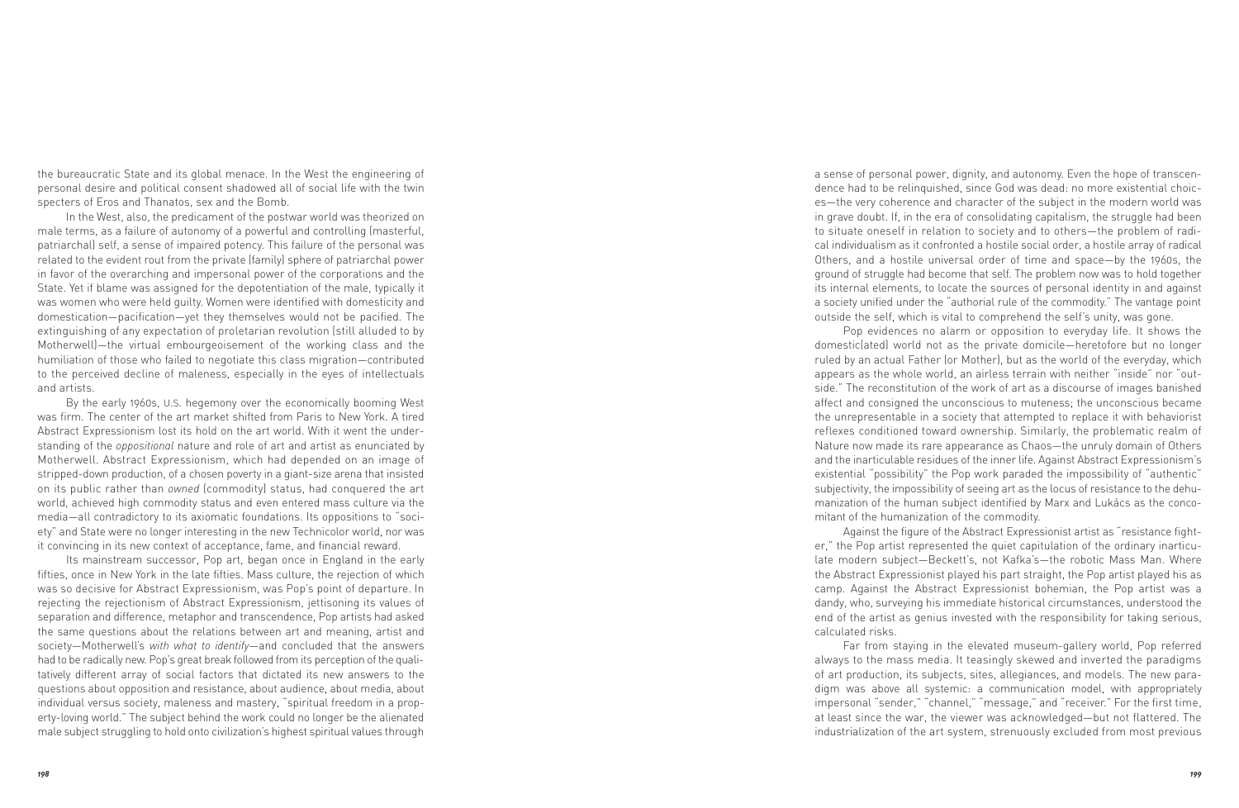the bureaucratic State and its global menace. In the West the engineering of personal desire and political consent shadowed all of social life with the twin specters of Eros and Thanatos, sex and the Bomb.

In the West, also, the predicament of the postwar world was theorized on male terms, as a failure of autonomy of a powerful and controlling (masterful, patriarchal) self, a sense of impaired potency. This failure of the personal was related to the evident rout from the private (family) sphere of patriarchal power in favor of the overarching and impersonal power of the corporations and the State. Yet if blame was assigned for the depotentiation of the male, typically it was women who were held guilty. Women were identified with domesticity and domestication—pacification—yet they themselves would not be pacified. The extinguishing of any expectation of proletarian revolution (still alluded to by Motherwell)—the virtual embourgeoisement of the working class and the humiliation of those who failed to negotiate this class migration—contributed to the perceived decline of maleness, especially in the eyes of intellectuals and artists.

By the early 1960s, U.S. hegemony over the economically booming West was firm. The center of the art market shifted from Paris to New York. A tired Abstract Expressionism lost its hold on the art world. With it went the understanding of the *oppositional* nature and role of art and artist as enunciated by Motherwell. Abstract Expressionism, which had depended on an image of stripped-down production, of a chosen poverty in a giant-size arena that insisted on its public rather than *owned* (commodity) status, had conquered the art world, achieved high commodity status and even entered mass culture via the media—all contradictory to its axiomatic foundations. Its oppositions to "society" and State were no longer interesting in the new Technicolor world, nor was it convincing in its new context of acceptance, fame, and financial reward.

Its mainstream successor, Pop art, began once in England in the early fifties, once in New York in the late fifties. Mass culture, the rejection of which was so decisive for Abstract Expressionism, was Pop's point of departure. In rejecting the rejectionism of Abstract Expressionism, jettisoning its values of separation and difference, metaphor and transcendence, Pop artists had asked the same questions about the relations between art and meaning, artist and society—Motherwell's *with what to identify*—and concluded that the answers had to be radically new. Pop's great break followed from its perception of the qualitatively different array of social factors that dictated its new answers to the questions about opposition and resistance, about audience, about media, about individual versus society, maleness and mastery, "spiritual freedom in a property-loving world." The subject behind the work could no longer be the alienated male subject struggling to hold onto civilization's highest spiritual values through

a sense of personal power, dignity, and autonomy. Even the hope of transcendence had to be relinquished, since God was dead: no more existential choices—the very coherence and character of the subject in the modern world was in grave doubt. If, in the era of consolidating capitalism, the struggle had been to situate oneself in relation to society and to others—the problem of radical individualism as it confronted a hostile social order, a hostile array of radical Others, and a hostile universal order of time and space—by the 1960s, the ground of struggle had become that self. The problem now was to hold together its internal elements, to locate the sources of personal identity in and against a society unified under the "authorial rule of the commodity." The vantage point outside the self, which is vital to comprehend the self's unity, was gone.

Pop evidences no alarm or opposition to everyday life. It shows the domestic(ated) world not as the private domicile—heretofore but no longer ruled by an actual Father (or Mother), but as the world of the everyday, which appears as the whole world, an airless terrain with neither "inside" nor "outside." The reconstitution of the work of art as a discourse of images banished affect and consigned the unconscious to muteness; the unconscious became the unrepresentable in a society that attempted to replace it with behaviorist reflexes conditioned toward ownership. Similarly, the problematic realm of Nature now made its rare appearance as Chaos—the unruly domain of Others and the inarticulable residues of the inner life. Against Abstract Expressionism's existential "possibility" the Pop work paraded the impossibility of "authentic" subjectivity, the impossibility of seeing art as the locus of resistance to the dehu manization of the human subject identified by Marx and Lukács as the concomitant of the humanization of the commodity.

Against the figure of the Abstract Expressionist artist as "resistance fighter," the Pop artist represented the quiet capitulation of the ordinary inarticulate modern subject—Beckett's, not Kafka's—the robotic Mass Man. Where the Abstract Expressionist played his part straight, the Pop artist played his as camp. Against the Abstract Expressionist bohemian, the Pop artist was a dandy, who, surveying his immediate historical circumstances, understood the end of the artist as genius invested with the responsibility for taking serious, calculated risks.

Far from staying in the elevated museum-gallery world, Pop referred always to the mass media. It teasingly skewed and inverted the paradigms of art production, its subjects, sites, allegiances, and models. The new paradigm was above all systemic: a communication model, with appropriately impersonal "sender," "channel," "message," and "receiver." For the first time, at least since the war, the viewer was acknowledged—but not flattered. The industrialization of the art system, strenuously excluded from most previous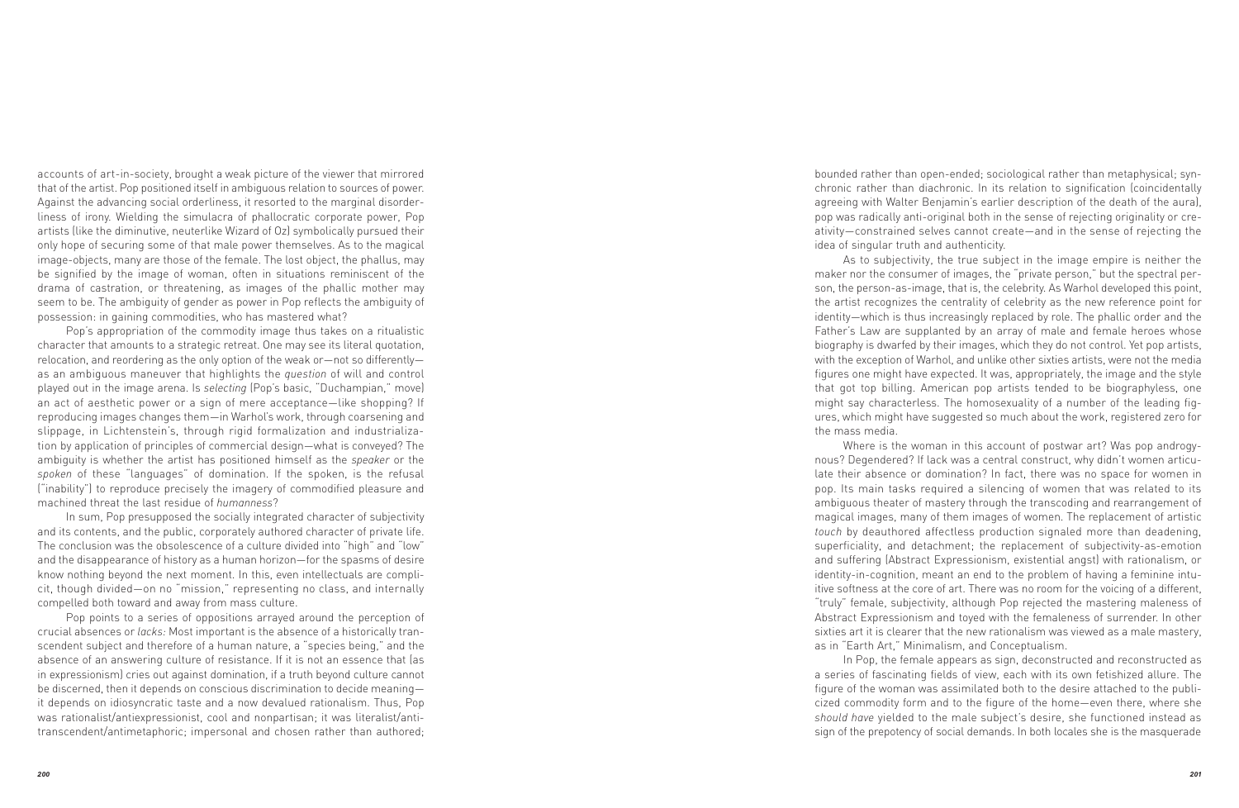accounts of art-in-society, brought a weak picture of the viewer that mirrored that of the artist. Pop positioned itself in ambiguous relation to sources of power. Against the advancing social orderliness, it resorted to the marginal disorderliness of irony. Wielding the simulacra of phallocratic corporate power, Pop artists (like the diminutive, neuterlike Wizard of Oz) symbolically pursued their only hope of securing some of that male power themselves. As to the magical image-objects, many are those of the female. The lost object, the phallus, may be signified by the image of woman, often in situations reminiscent of the drama of castration, or threatening, as images of the phallic mother may seem to be. The ambiguity of gender as power in Pop reflects the ambiguity of possession: in gaining commodities, who has mastered what?

Pop's appropriation of the commodity image thus takes on a ritualistic character that amounts to a strategic retreat. One may see its literal quotation, relocation, and reordering as the only option of the weak or—not so differently as an ambiguous maneuver that highlights the *question* of will and control played out in the image arena. Is *selecting* (Pop's basic, "Duchampian," move) an act of aesthetic power or a sign of mere acceptance—like shopping? If reproducing images changes them—in Warhol's work, through coarsening and slippage, in Lichtenstein's, through rigid formalization and industrializa tion by application of principles of commercial design—what is conveyed? The ambiguity is whether the artist has positioned himself as the *speaker* or the *spoken* of these "languages" of domination. If the spoken, is the refusal ("inability") to reproduce precisely the imagery of commodified pleasure and machined threat the last residue of *humanness* ?

In sum, Pop presupposed the socially integrated character of subjectivity and its contents, and the public, corporately authored character of private life. The conclusion was the obsolescence of a culture divided into "high" and "low" and the disappearance of history as a human horizon—for the spasms of desire know nothing beyond the next moment. In this, even intellectuals are complicit, though divided—on no "mission," representing no class, and internally compelled both toward and away from mass culture.

Pop points to a series of oppositions arrayed around the perception of crucial absences or *lacks:* Most important is the absence of a historically transcendent subject and therefore of a human nature, a "species being," and the absence of an answering culture of resistance. If it is not an essence that (as in expressionism) cries out against domination, if a truth beyond culture cannot be discerned, then it depends on conscious discrimination to decide meaning it depends on idiosyncratic taste and a now devalued rationalism. Thus, Pop was rationalist/antiexpressionist, cool and nonpartisan; it was literalist/antitranscendent/antimetaphoric; impersonal and chosen rather than authored;

bounded rather than open-ended; sociological rather than metaphysical; synchronic rather than diachronic. In its relation to signification (coincidentally agreeing with Walter Benjamin's earlier description of the death of the aura), pop was radically anti-original both in the sense of rejecting originality or creativity—constrained selves cannot create—and in the sense of rejecting the idea of singular truth and authenticity.

As to subjectivity, the true subject in the image empire is neither the maker nor the consumer of images, the "private person," but the spectral person, the person-as-image, that is, the celebrity. As Warhol developed this point, the artist recognizes the centrality of celebrity as the new reference point for identity—which is thus increasingly replaced by role. The phallic order and the Father's Law are supplanted by an array of male and female heroes whose biography is dwarfed by their images, which they do not control. Yet pop artists, with the exception of Warhol, and unlike other sixties artists, were not the media figures one might have expected. It was, appropriately, the image and the style that got top billing. American pop artists tended to be biographyless, one might say characterless. The homosexuality of a number of the leading figures, which might have suggested so much about the work, registered zero for the mass media.

Where is the woman in this account of postwar art? Was pop androgynous? Degendered? If lack was a central construct, why didn't women articulate their absence or domination? In fact, there was no space for women in pop. Its main tasks required a silencing of women that was related to its ambiguous theater of mastery through the transcoding and rearrangement of magical images, many of them images of women. The replacement of artistic *touch* by deauthored affectless production signaled more than deadening, superficiality, and detachment; the replacement of subjectivity-as-emotion and suffering (Abstract Expressionism, existential angst) with rationalism, or identity-in-cognition, meant an end to the problem of having a feminine intuitive softness at the core of art. There was no room for the voicing of a different, "truly" female, subjectivity, although Pop rejected the mastering maleness of Abstract Expressionism and toyed with the femaleness of surrender. In other sixties art it is clearer that the new rationalism was viewed as a male mastery, as in "Earth Art," Minimalism, and Conceptualism.

In Pop, the female appears as sign, deconstructed and reconstructed as a series of fascinating fields of view, each with its own fetishized allure. The figure of the woman was assimilated both to the desire attached to the publicized commodity form and to the figure of the home—even there, where she *should have* yielded to the male subject's desire, she functioned instead as sign of the prepotency of social demands. In both locales she is the masquerade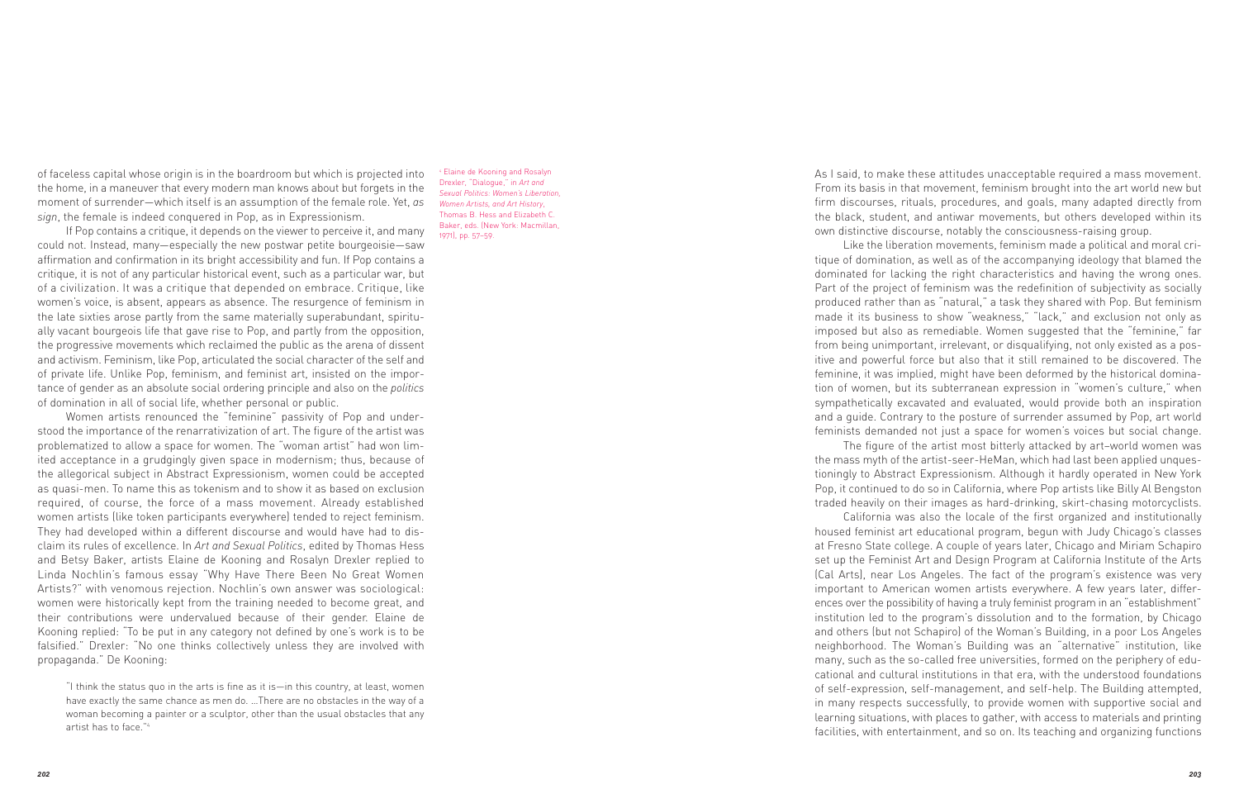of faceless capital whose origin is in the boardroom but which is projected into the home, in a maneuver that every modern man knows about but forgets in the moment of surrender—which itself is an assumption of the female role. Yet, *as sign*, the female is indeed conquered in Pop, as in Expressionism.

If Pop contains a critique, it depends on the viewer to perceive it, and many could not. Instead, many—especially the new postwar petite bourgeoisie—saw affirmation and confirmation in its bright accessibility and fun. If Pop contains a critique, it is not of any particular historical event, such as a particular war, but of a civilization. It was a critique that depended on embrace. Critique, like women's voice, is absent, appears as absence. The resurgence of feminism in the late sixties arose partly from the same materially superabundant, spiritually vacant bourgeois life that gave rise to Pop, and partly from the opposition, the progressive movements which reclaimed the public as the arena of dissent and activism. Feminism, like Pop, articulated the social character of the self and of private life. Unlike Pop, feminism, and feminist art, insisted on the importance of gender as an absolute social ordering principle and also on the *politics* of domination in all of social life, whether personal or public.

Women artists renounced the "feminine" passivity of Pop and understood the importance of the renarrativization of art. The figure of the artist was problematized to allow a space for women. The "woman artist" had won limited acceptance in a grudgingly given space in modernism; thus, because of the allegorical subject in Abstract Expressionism, women could be accepted as quasi-men. To name this as tokenism and to show it as based on exclusion required, of course, the force of a mass movement. Already established women artists (like token participants everywhere) tended to reject feminism. They had developed within a different discourse and would have had to disclaim its rules of excellence. In *Art and Sexual Politics*, edited by Thomas Hess and Betsy Baker, artists Elaine de Kooning and Rosalyn Drexler replied to Linda Nochlin's famous essay "Why Have There Been No Great Women Artists?" with venomous rejection. Nochlin's own answer was sociological: women were historically kept from the training needed to become great, and their contributions were undervalued because of their gender. Elaine de Kooning replied: "To be put in any category not defined by one's work is to be falsified." Drexler: "No one thinks collectively unless they are involved with propaganda." De Kooning:

"I think the status quo in the arts is fine as it is—in this country, at least, women have exactly the same chance as men do. …There are no obstacles in the way of a woman becoming a painter or a sculptor, other than the usual obstacles that any artist has to face."4

**Elaine de Kooning and Rosalyn** Drexler, "Dialogue," in *Art and Sexual Politics: Women's Liberation, Women Artists, and Art History* , Thomas B. Hess and Elizabeth C. Baker, eds. (New York: Macmillan, 1971), pp. 57–59.

As I said, to make these attitudes unacceptable required a mass movement. From its basis in that movement, feminism brought into the art world new but firm discourses, rituals, procedures, and goals, many adapted directly from the black, student, and antiwar movements, but others developed within its own distinctive discourse, notably the consciousness-raising group.

Like the liberation movements, feminism made a political and moral critique of domination, as well as of the accompanying ideology that blamed the dominated for lacking the right characteristics and having the wrong ones. Part of the project of feminism was the redefinition of subjectivity as socially produced rather than as "natural," a task they shared with Pop. But feminism made it its business to show "weakness," "lack," and exclusion not only as imposed but also as remediable. Women suggested that the "feminine," far from being unimportant, irrelevant, or disqualifying, not only existed as a positive and powerful force but also that it still remained to be discovered. The feminine, it was implied, might have been deformed by the historical domination of women, but its subterranean expression in "women's culture," when sympathetically excavated and evaluated, would provide both an inspiration and a guide. Contrary to the posture of surrender assumed by Pop, art world feminists demanded not just a space for women's voices but social change.

The figure of the artist most bitterly attacked by art–world women was the mass myth of the artist-seer-HeMan, which had last been applied unquestioningly to Abstract Expressionism. Although it hardly operated in New York Pop, it continued to do so in California, where Pop artists like Billy Al Bengston traded heavily on their images as hard-drinking, skirt-chasing motorcyclists.

California was also the locale of the first organized and institutionally housed feminist art educational program, begun with Judy Chicago's classes at Fresno State college. A couple of years later, Chicago and Miriam Schapiro set up the Feminist Art and Design Program at California Institute of the Arts (Cal Arts), near Los Angeles. The fact of the program's existence was very important to American women artists everywhere. A few years later, differences over the possibility of having a truly feminist program in an "establishment" institution led to the program's dissolution and to the formation, by Chicago and others (but not Schapiro) of the Woman's Building, in a poor Los Angeles neighborhood. The Woman's Building was an "alternative" institution, like many, such as the so-called free universities, formed on the periphery of educational and cultural institutions in that era, with the understood foundations of self-expression, self-management, and self-help. The Building attempted, in many respects successfully, to provide women with supportive social and learning situations, with places to gather, with access to materials and printing facilities, with entertainment, and so on. Its teaching and organizing functions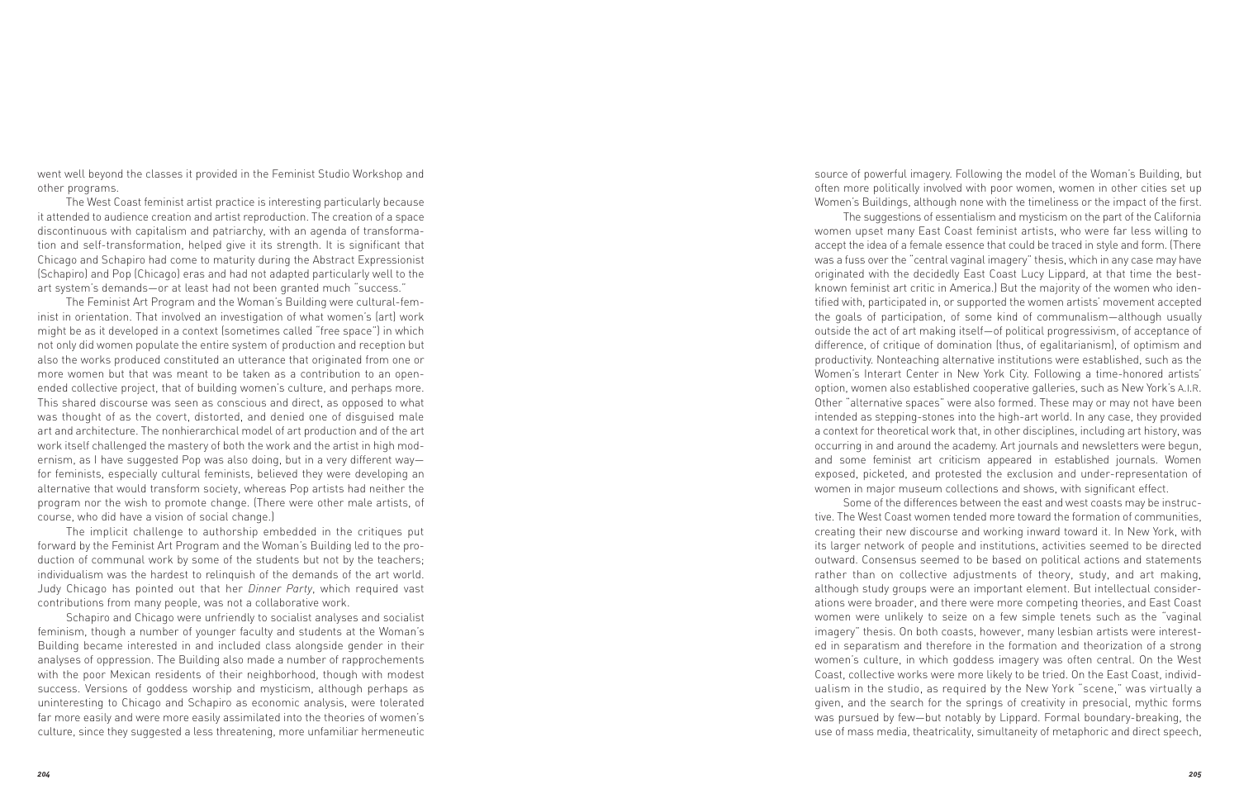went well beyond the classes it provided in the Feminist Studio Workshop and other programs.

The West Coast feminist artist practice is interesting particularly because it attended to audience creation and artist reproduction. The creation of a space discontinuous with capitalism and patriarchy, with an agenda of transformation and self-transformation, helped give it its strength. It is significant that Chicago and Schapiro had come to maturity during the Abstract Expressionist (Schapiro) and Pop (Chicago) eras and had not adapted particularly well to the art system's demands—or at least had not been granted much "success."

The Feminist Art Program and the Woman's Building were cultural-feminist in orientation. That involved an investigation of what women's (art) work might be as it developed in a context (sometimes called "free space") in which not only did women populate the entire system of production and reception but also the works produced constituted an utterance that originated from one or more women but that was meant to be taken as a contribution to an openended collective project, that of building women's culture, and perhaps more. This shared discourse was seen as conscious and direct, as opposed to what was thought of as the covert, distorted, and denied one of disguised male art and architecture. The nonhierarchical model of art production and of the art work itself challenged the mastery of both the work and the artist in high modernism, as I have suggested Pop was also doing, but in a very different way for feminists, especially cultural feminists, believed they were developing an alternative that would transform society, whereas Pop artists had neither the program nor the wish to promote change. (There were other male artists, of course, who did have a vision of social change.)

The implicit challenge to authorship embedded in the critiques put forward by the Feminist Art Program and the Woman's Building led to the production of communal work by some of the students but not by the teachers; individualism was the hardest to relinquish of the demands of the art world. Judy Chicago has pointed out that her *Dinner Party*, which required vast contributions from many people, was not a collaborative work.

Schapiro and Chicago were unfriendly to socialist analyses and socialist feminism, though a number of younger faculty and students at the Woman's Building became interested in and included class alongside gender in their analyses of oppression. The Building also made a number of rapprochements with the poor Mexican residents of their neighborhood, though with modest success. Versions of goddess worship and mysticism, although perhaps as uninteresting to Chicago and Schapiro as economic analysis, were tolerated far more easily and were more easily assimilated into the theories of women's culture, since they suggested a less threatening, more unfamiliar hermeneutic

source of powerful imagery. Following the model of the Woman's Building, but often more politically involved with poor women, women in other cities set up Women's Buildings, although none with the timeliness or the impact of the first.

The suggestions of essentialism and mysticism on the part of the California women upset many East Coast feminist artists, who were far less willing to accept the idea of a female essence that could be traced in style and form. (There was a fuss over the "central vaginal imagery" thesis, which in any case may have originated with the decidedly East Coast Lucy Lippard, at that time the bestknown feminist art critic in America.) But the majority of the women who identified with, participated in, or supported the women artists' movement accepted the goals of participation, of some kind of communalism—although usually outside the act of art making itself—of political progressivism, of acceptance of difference, of critique of domination (thus, of egalitarianism), of optimism and productivity. Nonteaching alternative institutions were established, such as the Women's Interart Center in New York City. Following a time-honored artists' option, women also established cooperative galleries, such as New York's A.I.R. Other "alternative spaces" were also formed. These may or may not have been intended as stepping-stones into the high-art world. In any case, they provided a context for theoretical work that, in other disciplines, including art history, was occurring in and around the academy. Art journals and newsletters were begun, and some feminist art criticism appeared in established journals. Women exposed, picketed, and protested the exclusion and under-representation of women in major museum collections and shows, with significant effect.

Some of the differences between the east and west coasts may be instructive. The West Coast women tended more toward the formation of communities, creating their new discourse and working inward toward it. In New York, with its larger network of people and institutions, activities seemed to be directed outward. Consensus seemed to be based on political actions and statements rather than on collective adjustments of theory, study, and art making, although study groups were an important element. But intellectual considerations were broader, and there were more competing theories, and East Coast women were unlikely to seize on a few simple tenets such as the "vaginal imagery" thesis. On both coasts, however, many lesbian artists were interested in separatism and therefore in the formation and theorization of a strong women's culture, in which goddess imagery was often central. On the West Coast, collective works were more likely to be tried. On the East Coast, individualism in the studio, as required by the New York "scene," was virtually a given, and the search for the springs of creativity in presocial, mythic forms was pursued by few—but notably by Lippard. Formal boundary-breaking, the use of mass media, theatricality, simultaneity of metaphoric and direct speech,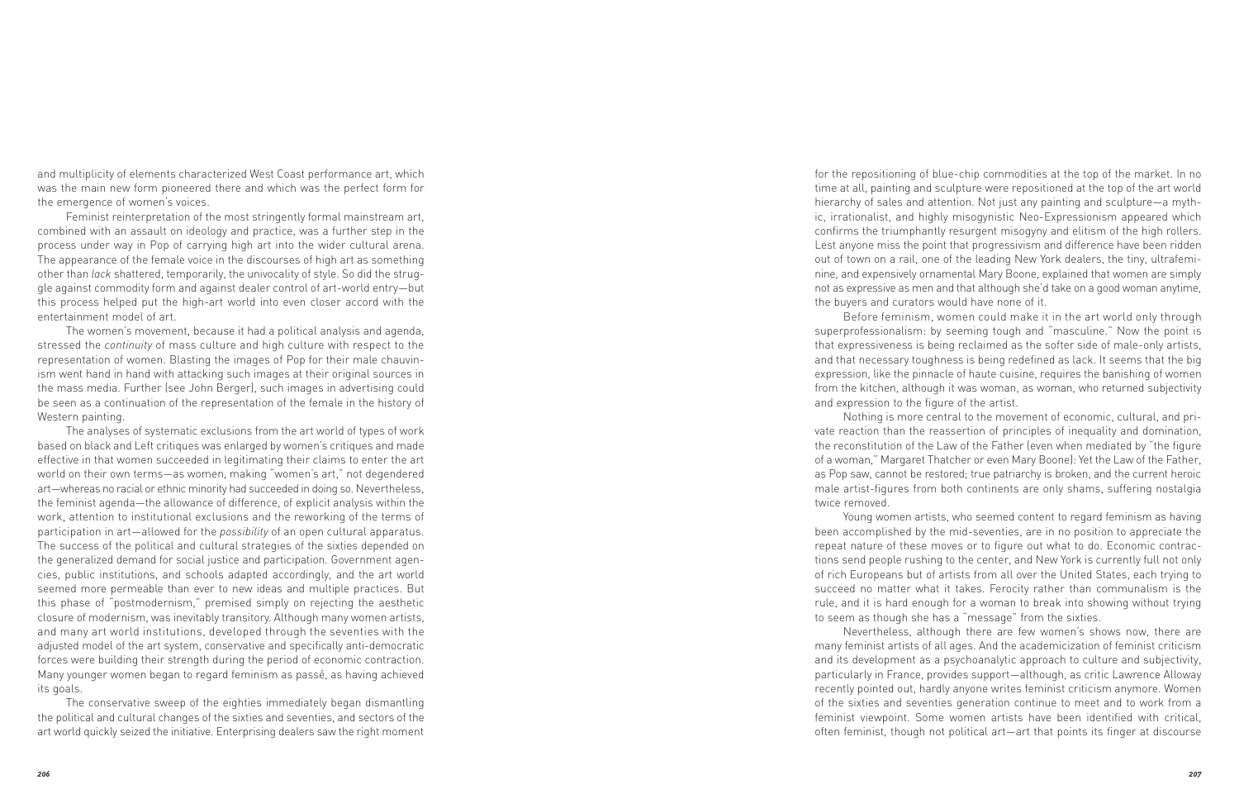and multiplicity of elements characterized West Coast performance art, which was the main new form pioneered there and which was the perfect form for the emergence of women's voices.

Feminist reinterpretation of the most stringently formal mainstream art, combined with an assault on ideology and practice, was a further step in the process under way in Pop of carrying high art into the wider cultural arena. The appearance of the female voice in the discourses of high art as something other than *lack* shattered, temporarily, the univocality of style. So did the struggle against commodity form and against dealer control of art-world entry—but this process helped put the high-art world into even closer accord with the entertainment model of art.

The women's movement, because it had a political analysis and agenda, stressed the *continuity* of mass culture and high culture with respect to the representation of women. Blasting the images of Pop for their male chauvinism went hand in hand with attacking such images at their original sources in the mass media. Further (see John Berger), such images in advertising could be seen as a continuation of the representation of the female in the history of Western painting.

The analyses of systematic exclusions from the art world of types of work based on black and Left critiques was enlarged by women's critiques and made effective in that women succeeded in legitimating their claims to enter the art world on their own terms—as women, making "women's art," not degendered art-whereas no racial or ethnic minority had succeeded in doing so. Nevertheless, the feminist agenda—the allowance of difference, of explicit analysis within the work, attention to institutional exclusions and the reworking of the terms of participation in art—allowed for the *possibility* of an open cultural apparatus. The success of the political and cultural strategies of the sixties depended on the generalized demand for social justice and participation. Government agencies, public institutions, and schools adapted accordingly, and the art world seemed more permeable than ever to new ideas and multiple practices. But this phase of "postmodernism," premised simply on rejecting the aesthetic closure of modernism, was inevitably transitory. Although many women artists, and many art world institutions, developed through the seventies with the adjusted model of the art system, conservative and specifically anti-democratic forces were building their strength during the period of economic contraction. Many younger women began to regard feminism as passé, as having achieved its goals.

The conservative sweep of the eighties immediately began dismantling the political and cultural changes of the sixties and seventies, and sectors of the art world quickly seized the initiative. Enterprising dealers saw the right moment for the repositioning of blue-chip commodities at the top of the market. In no time at all, painting and sculpture were repositioned at the top of the art world hierarchy of sales and attention. Not just any painting and sculpture—a mythic, irrationalist, and highly misogynistic Neo-Expressionism appeared which confirms the triumphantly resurgent misogyny and elitism of the high rollers. Lest anyone miss the point that progressivism and difference have been ridden out of town on a rail, one of the leading New York dealers, the tiny, ultrafeminine, and expensively ornamental Mary Boone, explained that women are simply not as expressive as men and that although she'd take on a good woman anytime, the buyers and curators would have none of it.

Before feminism, women could make it in the art world only through superprofessionalism: by seeming tough and "masculine." Now the point is that expressiveness is being reclaimed as the softer side of male-only artists, and that necessary toughness is being redefined as lack. It seems that the big expression, like the pinnacle of haute cuisine, requires the banishing of women from the kitchen, although it was woman, as woman, who returned subjectivity and expression to the figure of the artist.

Nothing is more central to the movement of economic, cultural, and private reaction than the reassertion of principles of inequality and domination, the reconstitution of the Law of the Father (even when mediated by "the figure of a woman," Margaret Thatcher or even Mary Boone): Yet the Law of the Father, as Pop saw, cannot be restored; true patriarchy is broken, and the current heroic male artist-figures from both continents are only shams, suffering nostalgia twice removed.

Young women artists, who seemed content to regard feminism as having been accomplished by the mid-seventies, are in no position to appreciate the repeat nature of these moves or to figure out what to do. Economic contractions send people rushing to the center, and New York is currently full not only of rich Europeans but of artists from all over the United States, each trying to succeed no matter what it takes. Ferocity rather than communalism is the rule, and it is hard enough for a woman to break into showing without trying to seem as though she has a "message" from the sixties.

Nevertheless, although there are few women's shows now, there are many feminist artists of all ages. And the academicization of feminist criticism and its development as a psychoanalytic approach to culture and subjectivity, particularly in France, provides support—although, as critic Lawrence Alloway recently pointed out, hardly anyone writes feminist criticism anymore. Women of the sixties and seventies generation continue to meet and to work from a feminist viewpoint. Some women artists have been identified with critical, often feminist, though not political art—art that points its finger at discourse